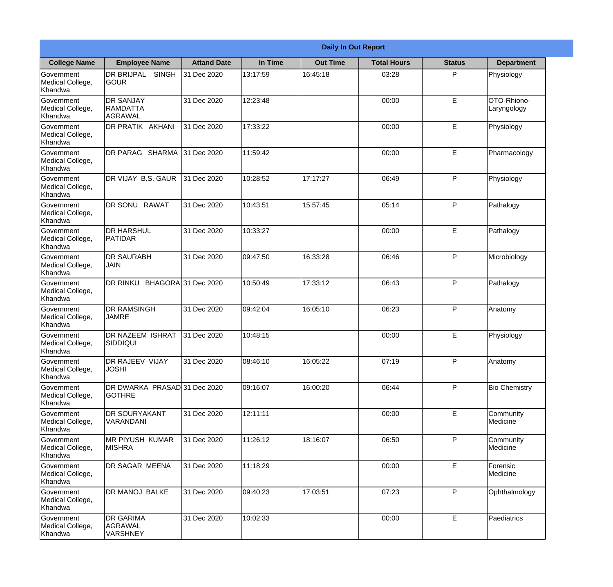| <b>College Name</b>                              | <b>Daily In Out Report</b>                     |                     |          |                 |                    |               |                            |  |  |
|--------------------------------------------------|------------------------------------------------|---------------------|----------|-----------------|--------------------|---------------|----------------------------|--|--|
|                                                  | <b>Employee Name</b>                           | <b>Attand Date</b>  | In Time  | <b>Out Time</b> | <b>Total Hours</b> | <b>Status</b> | <b>Department</b>          |  |  |
| Government<br>Medical College,<br>Khandwa        | <b>DR BRIJPAL</b><br><b>SINGH</b><br> GOUR     | 31 Dec 2020         | 13:17:59 | 16:45:18        | 03:28              | P             | Physiology                 |  |  |
| Government<br>Medical College,<br>Khandwa        | <b>DR SANJAY</b><br><b>RAMDATTA</b><br>AGRAWAL | 31 Dec 2020         | 12:23:48 |                 | 00:00              | $\mathsf E$   | OTO-Rhiono-<br>Laryngology |  |  |
| <b>Government</b><br>Medical College,<br>Khandwa | <b>IDR PRATIK AKHANI</b>                       | 31 Dec 2020         | 17:33:22 |                 | 00:00              | E             | Physiology                 |  |  |
| <b>Government</b><br>Medical College,<br>Khandwa | <b>DR PARAG SHARMA</b>                         | 31 Dec 2020         | 11:59:42 |                 | 00:00              | E             | Pharmacology               |  |  |
| Government<br>Medical College,<br>Khandwa        | DR VIJAY B.S. GAUR                             | 31 Dec 2020         | 10:28:52 | 17:17:27        | 06:49              | P             | Physiology                 |  |  |
| Government<br>Medical College,<br>Khandwa        | DR SONU RAWAT                                  | 31 Dec 2020         | 10:43:51 | 15:57:45        | 05:14              | P             | Pathalogy                  |  |  |
| <b>Government</b><br>Medical College,<br>Khandwa | <b>IDR HARSHUL</b><br><b>PATIDAR</b>           | 31 Dec 2020         | 10:33:27 |                 | 00:00              | E             | Pathalogy                  |  |  |
| <b>Government</b><br>Medical College,<br>Khandwa | <b>DR SAURABH</b><br><b>JAIN</b>               | 31 Dec 2020         | 09:47:50 | 16:33:28        | 06:46              | P             | Microbiology               |  |  |
| Government<br>Medical College,<br>Khandwa        | DR RINKU                                       | BHAGORA 31 Dec 2020 | 10:50:49 | 17:33:12        | 06:43              | P             | Pathalogy                  |  |  |
| Government<br>Medical College,<br>Khandwa        | <b>DR RAMSINGH</b><br><b>JAMRE</b>             | 31 Dec 2020         | 09:42:04 | 16:05:10        | 06:23              | P             | Anatomy                    |  |  |
| Government<br>Medical College,<br>Khandwa        | <b>IDR NAZEEM ISHRAT</b><br> SIDDIQUI          | 31 Dec 2020         | 10:48:15 |                 | 00:00              | E             | Physiology                 |  |  |
| Government<br>Medical College,<br>Khandwa        | DR RAJEEV VIJAY<br><b>JOSHI</b>                | 31 Dec 2020         | 08:46:10 | 16:05:22        | 07:19              | P             | Anatomy                    |  |  |
| Government<br>Medical College,<br>Khandwa        | DR DWARKA PRASAD 31 Dec 2020<br><b>GOTHRE</b>  |                     | 09:16:07 | 16:00:20        | 06:44              | P             | <b>Bio Chemistry</b>       |  |  |
| Government<br>Medical College,<br>Khandwa        | <b>DR SOURYAKANT</b><br>VARANDANI              | 31 Dec 2020         | 12:11:11 |                 | 00:00              | $\mathsf E$   | Community<br>Medicine      |  |  |
| <b>Government</b><br>Medical College,<br>Khandwa | <b>IMR PIYUSH KUMAR</b><br><b>MISHRA</b>       | 31 Dec 2020         | 11:26:12 | 18:16:07        | 06:50              | P             | Community<br>Medicine      |  |  |
| Government<br>Medical College,<br>Khandwa        | <b>DR SAGAR MEENA</b>                          | 31 Dec 2020         | 11:18:29 |                 | 00:00              | E             | Forensic<br>Medicine       |  |  |
| Government<br>Medical College,<br>Khandwa        | DR MANOJ BALKE                                 | 31 Dec 2020         | 09:40:23 | 17:03:51        | 07:23              | P             | Ophthalmology              |  |  |
| Government<br>Medical College,<br>Khandwa        | <b>DR GARIMA</b><br>AGRAWAL<br><b>VARSHNEY</b> | 31 Dec 2020         | 10:02:33 |                 | 00:00              | $\mathsf E$   | Paediatrics                |  |  |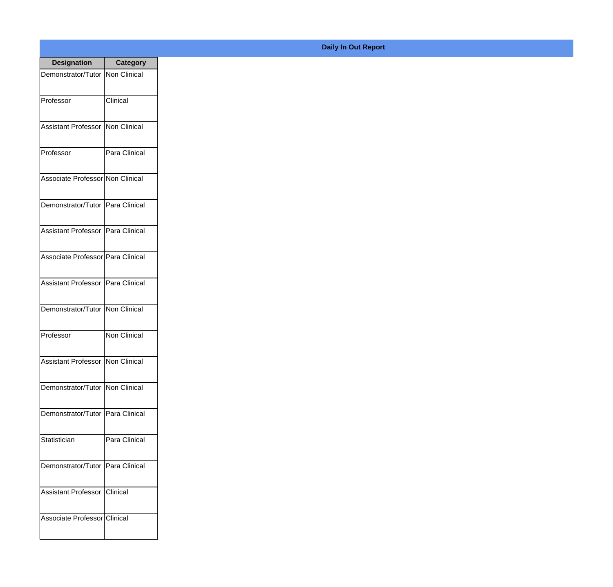| <b>Designation</b>                        | <b>Category</b>     |
|-------------------------------------------|---------------------|
| Demonstrator/Tutor   Non Clinical         |                     |
| Professor                                 | Clinical            |
| <b>Assistant Professor</b>                | Non Clinical        |
| Professor                                 | Para Clinical       |
| Associate Professor Non Clinical          |                     |
| Demonstrator/Tutor   Para Clinical        |                     |
| Assistant Professor   Para Clinical       |                     |
| Associate Professor Para Clinical         |                     |
| Assistant Professor   Para Clinical       |                     |
| Demonstrator/Tutor   Non Clinical         |                     |
| Professor                                 | <b>Non Clinical</b> |
| <b>Assistant Professor   Non Clinical</b> |                     |
| Demonstrator/Tutor   Non Clinical         |                     |
| Demonstrator/Tutor   Para Clinical        |                     |
| Statistician                              | Para Clinical       |
| Demonstrator/Tutor   Para Clinical        |                     |
| <b>Assistant Professor</b>                | Clinical            |
| Associate Professor Clinical              |                     |

## **Daily In Out Report**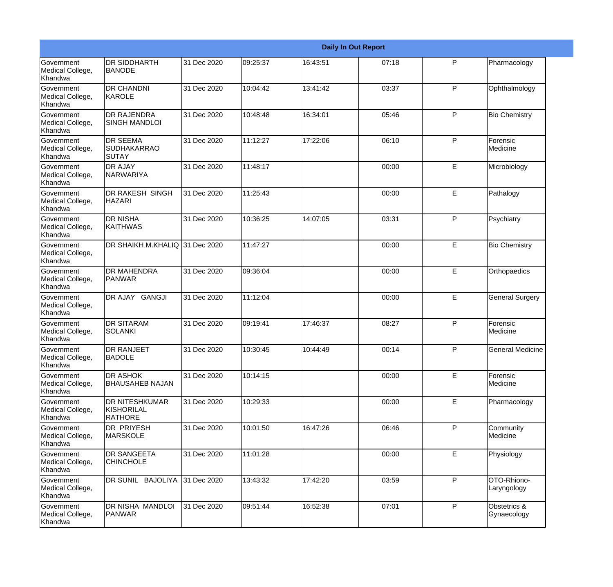|                                                  | <b>Daily In Out Report</b>                            |             |          |          |       |   |                             |  |  |
|--------------------------------------------------|-------------------------------------------------------|-------------|----------|----------|-------|---|-----------------------------|--|--|
| Government<br>Medical College,<br>Khandwa        | <b>DR SIDDHARTH</b><br><b>BANODE</b>                  | 31 Dec 2020 | 09:25:37 | 16:43:51 | 07:18 | P | Pharmacology                |  |  |
| Government<br>Medical College,<br>Khandwa        | <b>DR CHANDNI</b><br>KAROLE                           | 31 Dec 2020 | 10:04:42 | 13:41:42 | 03:37 | P | Ophthalmology               |  |  |
| Government<br>Medical College,<br>Khandwa        | <b>DR RAJENDRA</b><br><b>SINGH MANDLOI</b>            | 31 Dec 2020 | 10:48:48 | 16:34:01 | 05:46 | P | <b>Bio Chemistry</b>        |  |  |
| Government<br>Medical College,<br>Khandwa        | <b>DR SEEMA</b><br><b>SUDHAKARRAO</b><br><b>SUTAY</b> | 31 Dec 2020 | 11:12:27 | 17:22:06 | 06:10 | P | Forensic<br>Medicine        |  |  |
| <b>Government</b><br>Medical College,<br>Khandwa | <b>DR AJAY</b><br>NARWARIYA                           | 31 Dec 2020 | 11:48:17 |          | 00:00 | E | Microbiology                |  |  |
| Government<br>Medical College,<br>Khandwa        | <b>DR RAKESH SINGH</b><br><b>HAZARI</b>               | 31 Dec 2020 | 11:25:43 |          | 00:00 | E | Pathalogy                   |  |  |
| <b>Government</b><br>Medical College,<br>Khandwa | <b>DR NISHA</b><br>KAITHWAS                           | 31 Dec 2020 | 10:36:25 | 14:07:05 | 03:31 | P | Psychiatry                  |  |  |
| Government<br>Medical College,<br>Khandwa        | DR SHAIKH M.KHALIQ 31 Dec 2020                        |             | 11:47:27 |          | 00:00 | E | <b>Bio Chemistry</b>        |  |  |
| <b>Government</b><br>Medical College,<br>Khandwa | <b>DR MAHENDRA</b><br>PANWAR                          | 31 Dec 2020 | 09:36:04 |          | 00:00 | E | Orthopaedics                |  |  |
| <b>Government</b><br>Medical College,<br>Khandwa | DR AJAY GANGJI                                        | 31 Dec 2020 | 11:12:04 |          | 00:00 | E | <b>General Surgery</b>      |  |  |
| Government<br>Medical College,<br>Khandwa        | <b>DR SITARAM</b><br>SOLANKI                          | 31 Dec 2020 | 09:19:41 | 17:46:37 | 08:27 | P | Forensic<br>Medicine        |  |  |
| Government<br>Medical College,<br>Khandwa        | <b>DR RANJEET</b><br><b>BADOLE</b>                    | 31 Dec 2020 | 10:30:45 | 10:44:49 | 00:14 | P | <b>General Medicine</b>     |  |  |
| Government<br>Medical College,<br>Khandwa        | <b>DR ASHOK</b><br><b>BHAUSAHEB NAJAN</b>             | 31 Dec 2020 | 10:14:15 |          | 00:00 | E | Forensic<br>Medicine        |  |  |
| Government<br>Medical College,<br>Khandwa        | <b>DR NITESHKUMAR</b><br>KISHORILAL<br><b>RATHORE</b> | 31 Dec 2020 | 10:29:33 |          | 00:00 | E | Pharmacology                |  |  |
| Government<br>Medical College,<br>Khandwa        | <b>DR PRIYESH</b><br>MARSKOLE                         | 31 Dec 2020 | 10:01:50 | 16:47:26 | 06:46 | P | Community<br>Medicine       |  |  |
| Government<br>Medical College,<br>Khandwa        | <b>DR SANGEETA</b><br><b>CHINCHOLE</b>                | 31 Dec 2020 | 11:01:28 |          | 00:00 | E | Physiology                  |  |  |
| Government<br>Medical College,<br>Khandwa        | DR SUNIL BAJOLIYA                                     | 31 Dec 2020 | 13:43:32 | 17:42:20 | 03:59 | P | OTO-Rhiono-<br>Laryngology  |  |  |
| Government<br>Medical College,<br>Khandwa        | DR NISHA MANDLOI<br><b>PANWAR</b>                     | 31 Dec 2020 | 09:51:44 | 16:52:38 | 07:01 | P | Obstetrics &<br>Gynaecology |  |  |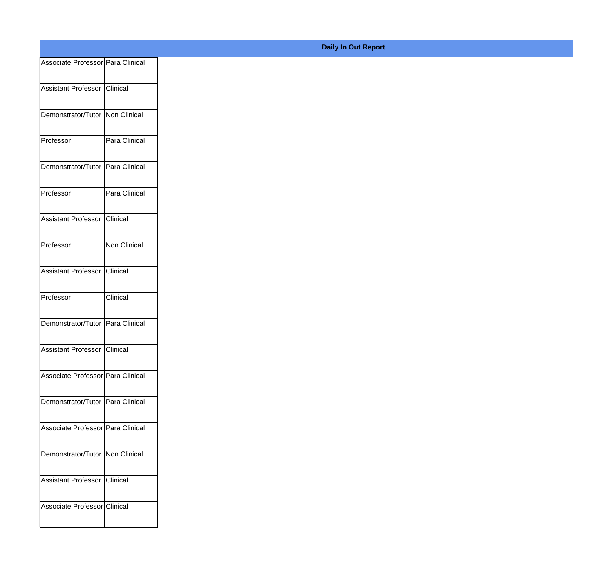| Associate Professor Para Clinical |                 |
|-----------------------------------|-----------------|
| Assistant Professor Clinical      |                 |
|                                   |                 |
| Demonstrator/Tutor Non Clinical   |                 |
| Professor                         | Para Clinical   |
|                                   |                 |
| Demonstrator/Tutor Para Clinical  |                 |
| Professor                         | Para Clinical   |
| Assistant Professor               | <b>Clinical</b> |
|                                   |                 |
| Professor                         | Non Clinical    |
| Assistant Professor Clinical      |                 |
|                                   |                 |
| Professor                         | Clinical        |
| Demonstrator/Tutor Para Clinical  |                 |
| Assistant Professor Clinical      |                 |
|                                   |                 |
| Associate Professor Para Clinical |                 |
| Demonstrator/Tutor Para Clinical  |                 |
|                                   |                 |
| Associate Professor Para Clinical |                 |
| Demonstrator/Tutor   Non Clinical |                 |
| Assistant Professor Clinical      |                 |
|                                   |                 |
| Associate Professor Clinical      |                 |
|                                   |                 |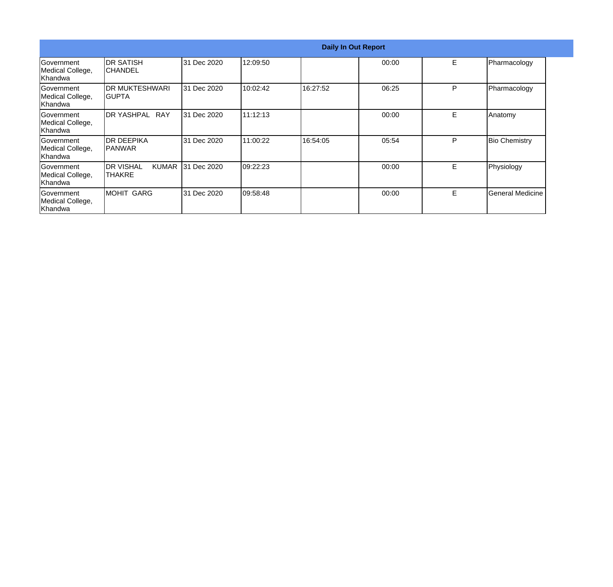|                                                  | <b>Daily In Out Report</b>                   |             |           |          |       |    |                      |  |  |
|--------------------------------------------------|----------------------------------------------|-------------|-----------|----------|-------|----|----------------------|--|--|
| Government<br>Medical College,<br>Khandwa        | IDR SATISH<br>ICHANDEL                       | 31 Dec 2020 | 12:09:50  |          | 00:00 | E. | Pharmacology         |  |  |
| Government<br>Medical College,<br>Khandwa        | IDR MUKTESHWARI<br>IGUPTA                    | 31 Dec 2020 | 10:02:42  | 16:27:52 | 06:25 | P  | Pharmacology         |  |  |
| Government<br>Medical College,<br> Khandwa       | IDR YASHPAL<br><b>RAY</b>                    | 31 Dec 2020 | 11:12:13  |          | 00:00 | E. | Anatomy              |  |  |
| Government<br>Medical College,<br>Khandwa        | IDR DEEPIKA<br>IPANWAR                       | 31 Dec 2020 | 11:00:22  | 16:54:05 | 05:54 | P  | <b>Bio Chemistry</b> |  |  |
| Government<br>Medical College,<br><b>Khandwa</b> | <b>I</b> DR VISHAL<br><b>KUMAR</b><br>THAKRE | 31 Dec 2020 | 09:22:23  |          | 00:00 | E  | Physiology           |  |  |
| <b>Sovernment</b><br>Medical College,<br>Khandwa | MOHIT GARG                                   | 31 Dec 2020 | 109:58:48 |          | 00:00 | E. | General Medicine     |  |  |